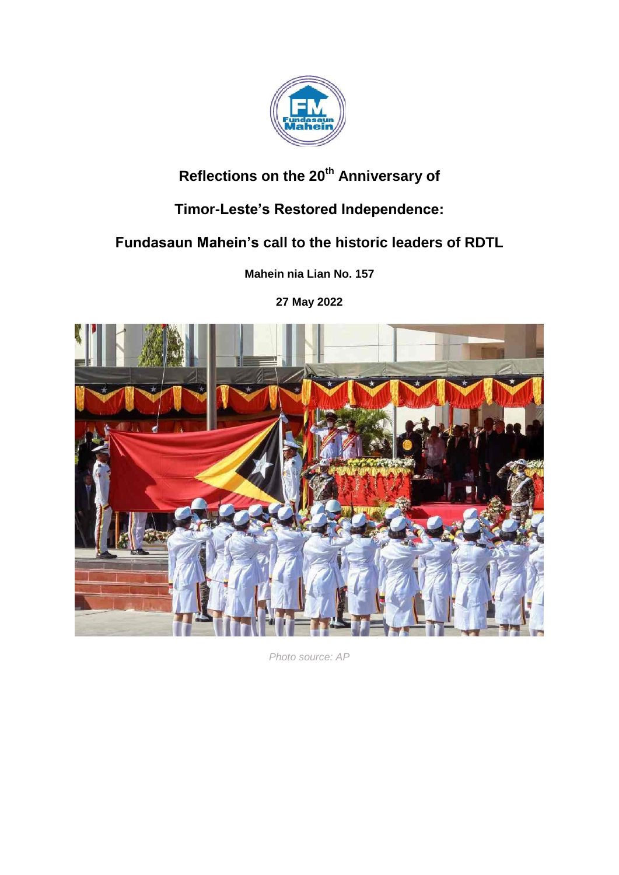

# **Reflections on the 20th Anniversary of**

## **Timor-Leste's Restored Independence:**

### **Fundasaun Mahein's call to the historic leaders of RDTL**

**Mahein nia Lian No. 157**

**27 May 2022**



*Photo source: AP*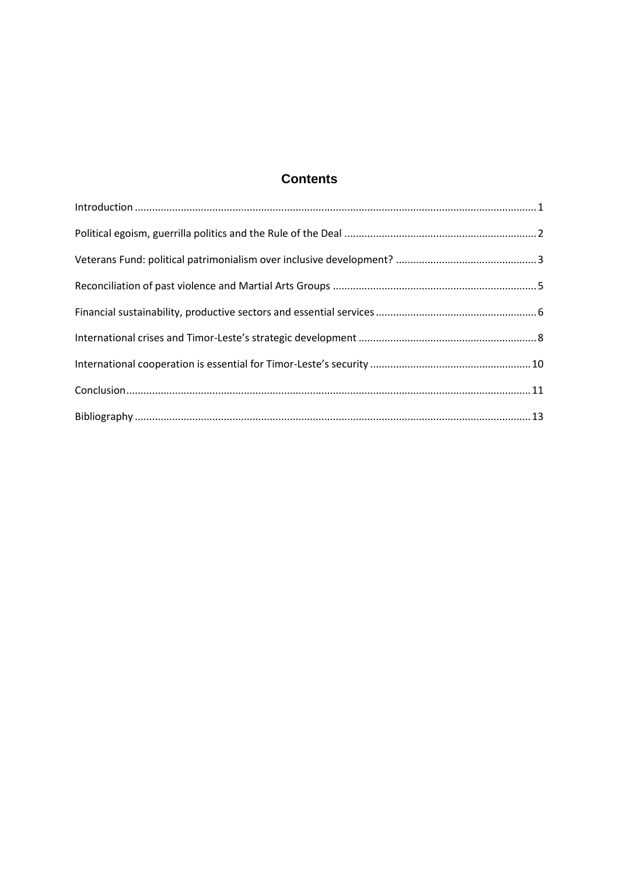### **Contents**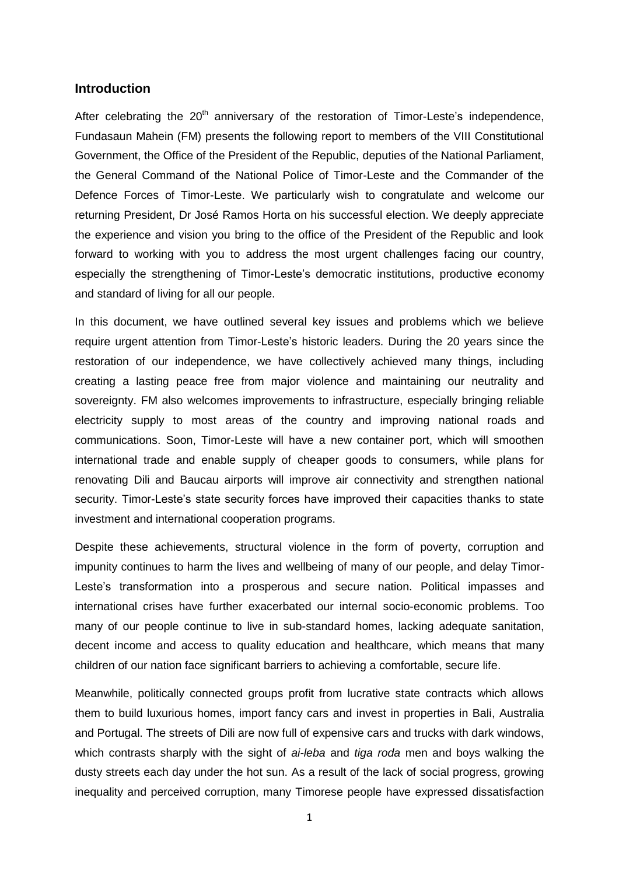#### <span id="page-2-0"></span>**Introduction**

After celebrating the  $20<sup>th</sup>$  anniversary of the restoration of Timor-Leste's independence, Fundasaun Mahein (FM) presents the following report to members of the VIII Constitutional Government, the Office of the President of the Republic, deputies of the National Parliament, the General Command of the National Police of Timor-Leste and the Commander of the Defence Forces of Timor-Leste. We particularly wish to congratulate and welcome our returning President, Dr José Ramos Horta on his successful election. We deeply appreciate the experience and vision you bring to the office of the President of the Republic and look forward to working with you to address the most urgent challenges facing our country, especially the strengthening of Timor-Leste"s democratic institutions, productive economy and standard of living for all our people.

In this document, we have outlined several key issues and problems which we believe require urgent attention from Timor-Leste"s historic leaders. During the 20 years since the restoration of our independence, we have collectively achieved many things, including creating a lasting peace free from major violence and maintaining our neutrality and sovereignty. FM also welcomes improvements to infrastructure, especially bringing reliable electricity supply to most areas of the country and improving national roads and communications. Soon, Timor-Leste will have a new container port, which will smoothen international trade and enable supply of cheaper goods to consumers, while plans for renovating Dili and Baucau airports will improve air connectivity and strengthen national security. Timor-Leste's state security forces have improved their capacities thanks to state investment and international cooperation programs.

Despite these achievements, structural violence in the form of poverty, corruption and impunity continues to harm the lives and wellbeing of many of our people, and delay Timor-Leste's transformation into a prosperous and secure nation. Political impasses and international crises have further exacerbated our internal socio-economic problems. Too many of our people continue to live in sub-standard homes, lacking adequate sanitation, decent income and access to quality education and healthcare, which means that many children of our nation face significant barriers to achieving a comfortable, secure life.

Meanwhile, politically connected groups profit from lucrative state contracts which allows them to build luxurious homes, import fancy cars and invest in properties in Bali, Australia and Portugal. The streets of Dili are now full of expensive cars and trucks with dark windows, which contrasts sharply with the sight of *ai-leba* and *tiga roda* men and boys walking the dusty streets each day under the hot sun. As a result of the lack of social progress, growing inequality and perceived corruption, many Timorese people have expressed dissatisfaction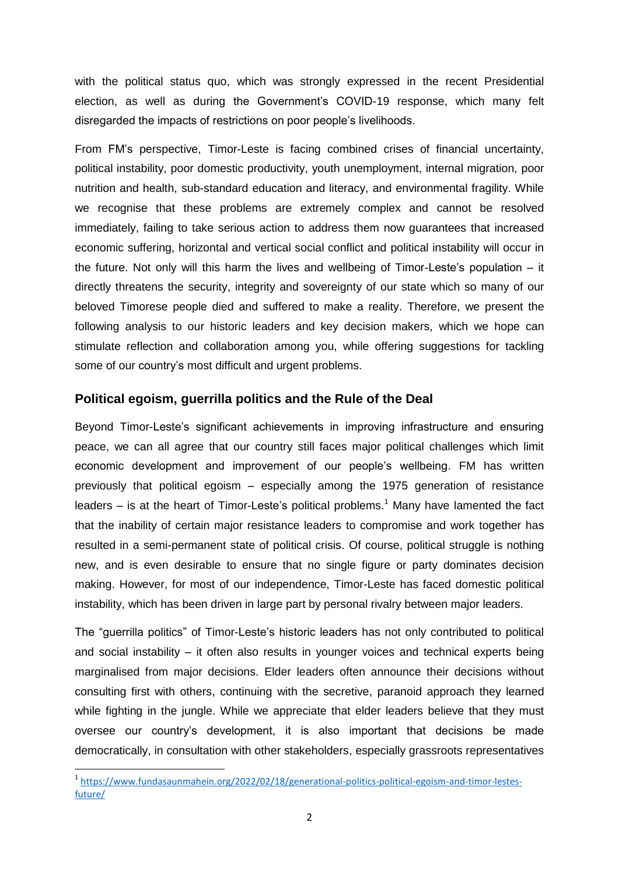with the political status quo, which was strongly expressed in the recent Presidential election, as well as during the Government"s COVID-19 response, which many felt disregarded the impacts of restrictions on poor people"s livelihoods.

From FM"s perspective, Timor-Leste is facing combined crises of financial uncertainty, political instability, poor domestic productivity, youth unemployment, internal migration, poor nutrition and health, sub-standard education and literacy, and environmental fragility. While we recognise that these problems are extremely complex and cannot be resolved immediately, failing to take serious action to address them now guarantees that increased economic suffering, horizontal and vertical social conflict and political instability will occur in the future. Not only will this harm the lives and wellbeing of Timor-Leste's population  $-$  it directly threatens the security, integrity and sovereignty of our state which so many of our beloved Timorese people died and suffered to make a reality. Therefore, we present the following analysis to our historic leaders and key decision makers, which we hope can stimulate reflection and collaboration among you, while offering suggestions for tackling some of our country"s most difficult and urgent problems.

#### <span id="page-3-0"></span>**Political egoism, guerrilla politics and the Rule of the Deal**

Beyond Timor-Leste's significant achievements in improving infrastructure and ensuring peace, we can all agree that our country still faces major political challenges which limit economic development and improvement of our people's wellbeing. FM has written previously that political egoism – especially among the 1975 generation of resistance leaders  $-$  is at the heart of Timor-Leste's political problems.<sup>1</sup> Many have lamented the fact that the inability of certain major resistance leaders to compromise and work together has resulted in a semi-permanent state of political crisis. Of course, political struggle is nothing new, and is even desirable to ensure that no single figure or party dominates decision making. However, for most of our independence, Timor-Leste has faced domestic political instability, which has been driven in large part by personal rivalry between major leaders.

The "guerrilla politics" of Timor-Leste's historic leaders has not only contributed to political and social instability – it often also results in younger voices and technical experts being marginalised from major decisions. Elder leaders often announce their decisions without consulting first with others, continuing with the secretive, paranoid approach they learned while fighting in the jungle. While we appreciate that elder leaders believe that they must oversee our country"s development, it is also important that decisions be made democratically, in consultation with other stakeholders, especially grassroots representatives

**.** 

<sup>&</sup>lt;sup>1</sup> [https://www.fundasaunmahein.org/2022/02/18/generational-politics-political-egoism-and-timor-lestes](https://www.fundasaunmahein.org/2022/02/18/generational-politics-political-egoism-and-timor-lestes-future/)[future/](https://www.fundasaunmahein.org/2022/02/18/generational-politics-political-egoism-and-timor-lestes-future/)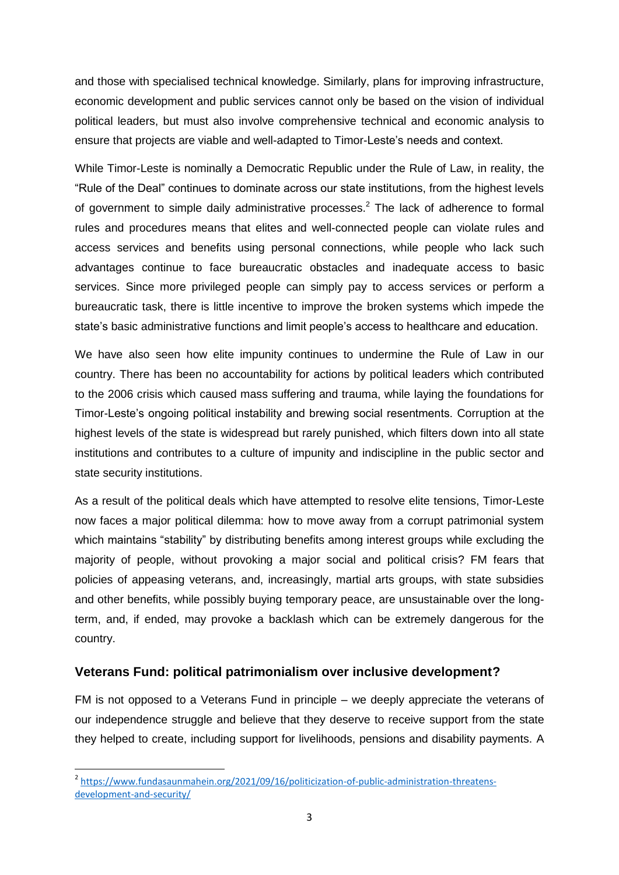and those with specialised technical knowledge. Similarly, plans for improving infrastructure, economic development and public services cannot only be based on the vision of individual political leaders, but must also involve comprehensive technical and economic analysis to ensure that projects are viable and well-adapted to Timor-Leste"s needs and context.

While Timor-Leste is nominally a Democratic Republic under the Rule of Law, in reality, the "Rule of the Deal" continues to dominate across our state institutions, from the highest levels of government to simple daily administrative processes. $<sup>2</sup>$  The lack of adherence to formal</sup> rules and procedures means that elites and well-connected people can violate rules and access services and benefits using personal connections, while people who lack such advantages continue to face bureaucratic obstacles and inadequate access to basic services. Since more privileged people can simply pay to access services or perform a bureaucratic task, there is little incentive to improve the broken systems which impede the state"s basic administrative functions and limit people"s access to healthcare and education.

We have also seen how elite impunity continues to undermine the Rule of Law in our country. There has been no accountability for actions by political leaders which contributed to the 2006 crisis which caused mass suffering and trauma, while laying the foundations for Timor-Leste"s ongoing political instability and brewing social resentments. Corruption at the highest levels of the state is widespread but rarely punished, which filters down into all state institutions and contributes to a culture of impunity and indiscipline in the public sector and state security institutions.

As a result of the political deals which have attempted to resolve elite tensions, Timor-Leste now faces a major political dilemma: how to move away from a corrupt patrimonial system which maintains "stability" by distributing benefits among interest groups while excluding the majority of people, without provoking a major social and political crisis? FM fears that policies of appeasing veterans, and, increasingly, martial arts groups, with state subsidies and other benefits, while possibly buying temporary peace, are unsustainable over the longterm, and, if ended, may provoke a backlash which can be extremely dangerous for the country.

#### <span id="page-4-0"></span>**Veterans Fund: political patrimonialism over inclusive development?**

FM is not opposed to a Veterans Fund in principle – we deeply appreciate the veterans of our independence struggle and believe that they deserve to receive support from the state they helped to create, including support for livelihoods, pensions and disability payments. A

 2 [https://www.fundasaunmahein.org/2021/09/16/politicization-of-public-administration-threatens](https://www.fundasaunmahein.org/2021/09/16/politicization-of-public-administration-threatens-development-and-security/)[development-and-security/](https://www.fundasaunmahein.org/2021/09/16/politicization-of-public-administration-threatens-development-and-security/)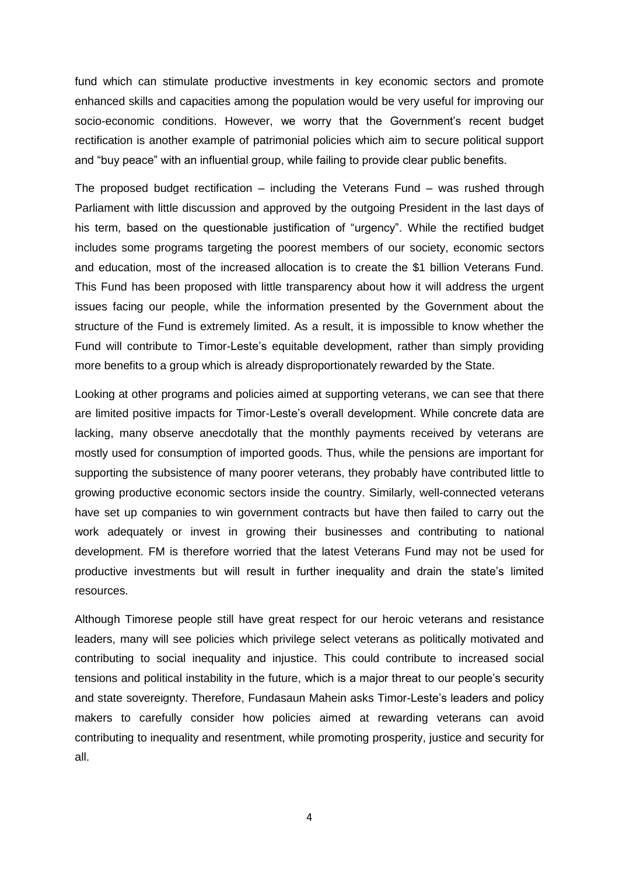fund which can stimulate productive investments in key economic sectors and promote enhanced skills and capacities among the population would be very useful for improving our socio-economic conditions. However, we worry that the Government's recent budget rectification is another example of patrimonial policies which aim to secure political support and "buy peace" with an influential group, while failing to provide clear public benefits.

The proposed budget rectification – including the Veterans Fund – was rushed through Parliament with little discussion and approved by the outgoing President in the last days of his term, based on the questionable justification of "urgency". While the rectified budget includes some programs targeting the poorest members of our society, economic sectors and education, most of the increased allocation is to create the \$1 billion Veterans Fund. This Fund has been proposed with little transparency about how it will address the urgent issues facing our people, while the information presented by the Government about the structure of the Fund is extremely limited. As a result, it is impossible to know whether the Fund will contribute to Timor-Leste's equitable development, rather than simply providing more benefits to a group which is already disproportionately rewarded by the State.

Looking at other programs and policies aimed at supporting veterans, we can see that there are limited positive impacts for Timor-Leste"s overall development. While concrete data are lacking, many observe anecdotally that the monthly payments received by veterans are mostly used for consumption of imported goods. Thus, while the pensions are important for supporting the subsistence of many poorer veterans, they probably have contributed little to growing productive economic sectors inside the country. Similarly, well-connected veterans have set up companies to win government contracts but have then failed to carry out the work adequately or invest in growing their businesses and contributing to national development. FM is therefore worried that the latest Veterans Fund may not be used for productive investments but will result in further inequality and drain the state"s limited resources.

Although Timorese people still have great respect for our heroic veterans and resistance leaders, many will see policies which privilege select veterans as politically motivated and contributing to social inequality and injustice. This could contribute to increased social tensions and political instability in the future, which is a major threat to our people"s security and state sovereignty. Therefore, Fundasaun Mahein asks Timor-Leste"s leaders and policy makers to carefully consider how policies aimed at rewarding veterans can avoid contributing to inequality and resentment, while promoting prosperity, justice and security for all.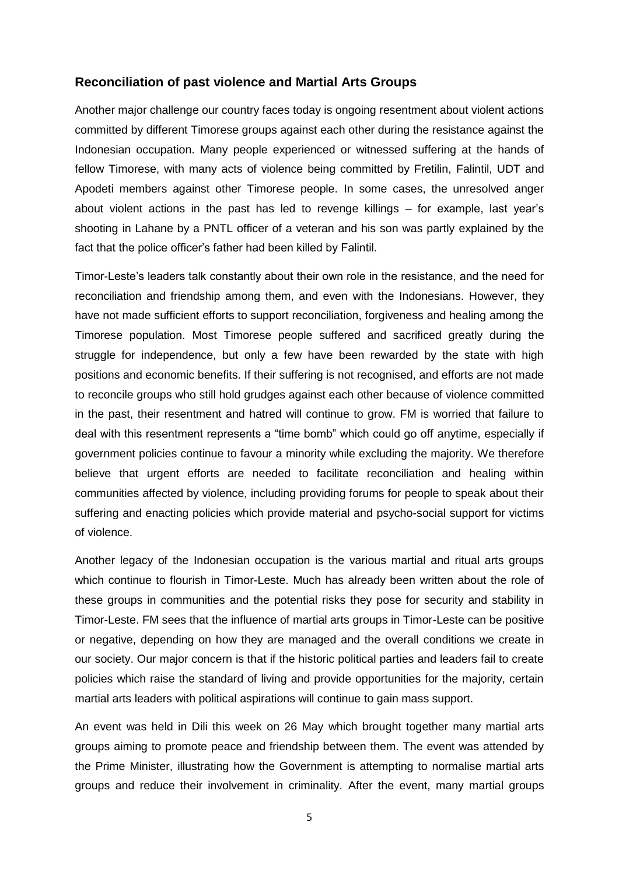#### <span id="page-6-0"></span>**Reconciliation of past violence and Martial Arts Groups**

Another major challenge our country faces today is ongoing resentment about violent actions committed by different Timorese groups against each other during the resistance against the Indonesian occupation. Many people experienced or witnessed suffering at the hands of fellow Timorese, with many acts of violence being committed by Fretilin, Falintil, UDT and Apodeti members against other Timorese people. In some cases, the unresolved anger about violent actions in the past has led to revenge killings – for example, last year"s shooting in Lahane by a PNTL officer of a veteran and his son was partly explained by the fact that the police officer"s father had been killed by Falintil.

Timor-Leste"s leaders talk constantly about their own role in the resistance, and the need for reconciliation and friendship among them, and even with the Indonesians. However, they have not made sufficient efforts to support reconciliation, forgiveness and healing among the Timorese population. Most Timorese people suffered and sacrificed greatly during the struggle for independence, but only a few have been rewarded by the state with high positions and economic benefits. If their suffering is not recognised, and efforts are not made to reconcile groups who still hold grudges against each other because of violence committed in the past, their resentment and hatred will continue to grow. FM is worried that failure to deal with this resentment represents a "time bomb" which could go off anytime, especially if government policies continue to favour a minority while excluding the majority. We therefore believe that urgent efforts are needed to facilitate reconciliation and healing within communities affected by violence, including providing forums for people to speak about their suffering and enacting policies which provide material and psycho-social support for victims of violence.

Another legacy of the Indonesian occupation is the various martial and ritual arts groups which continue to flourish in Timor-Leste. Much has already been written about the role of these groups in communities and the potential risks they pose for security and stability in Timor-Leste. FM sees that the influence of martial arts groups in Timor-Leste can be positive or negative, depending on how they are managed and the overall conditions we create in our society. Our major concern is that if the historic political parties and leaders fail to create policies which raise the standard of living and provide opportunities for the majority, certain martial arts leaders with political aspirations will continue to gain mass support.

An event was held in Dili this week on 26 May which brought together many martial arts groups aiming to promote peace and friendship between them. The event was attended by the Prime Minister, illustrating how the Government is attempting to normalise martial arts groups and reduce their involvement in criminality. After the event, many martial groups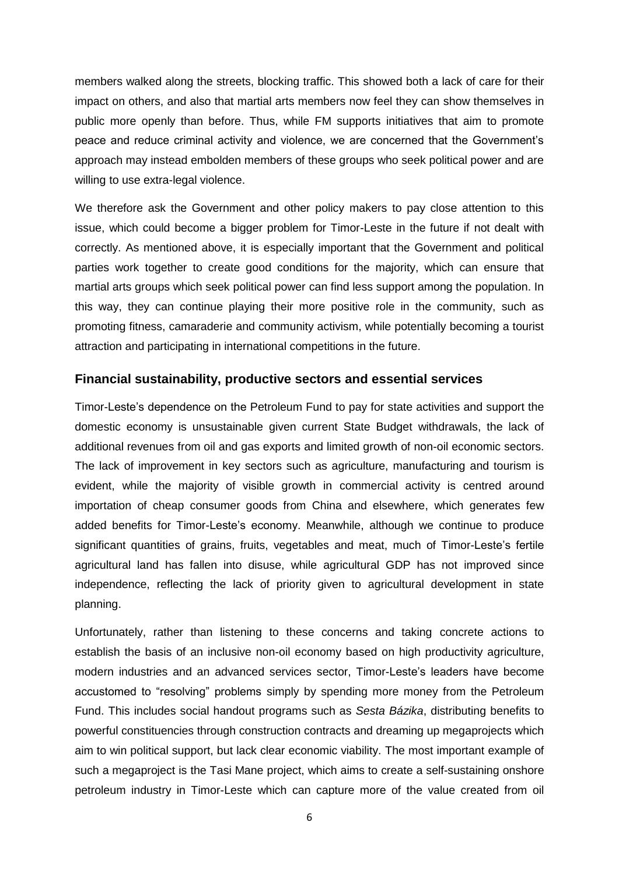members walked along the streets, blocking traffic. This showed both a lack of care for their impact on others, and also that martial arts members now feel they can show themselves in public more openly than before. Thus, while FM supports initiatives that aim to promote peace and reduce criminal activity and violence, we are concerned that the Government"s approach may instead embolden members of these groups who seek political power and are willing to use extra-legal violence.

We therefore ask the Government and other policy makers to pay close attention to this issue, which could become a bigger problem for Timor-Leste in the future if not dealt with correctly. As mentioned above, it is especially important that the Government and political parties work together to create good conditions for the majority, which can ensure that martial arts groups which seek political power can find less support among the population. In this way, they can continue playing their more positive role in the community, such as promoting fitness, camaraderie and community activism, while potentially becoming a tourist attraction and participating in international competitions in the future.

#### <span id="page-7-0"></span>**Financial sustainability, productive sectors and essential services**

Timor-Leste"s dependence on the Petroleum Fund to pay for state activities and support the domestic economy is unsustainable given current State Budget withdrawals, the lack of additional revenues from oil and gas exports and limited growth of non-oil economic sectors. The lack of improvement in key sectors such as agriculture, manufacturing and tourism is evident, while the majority of visible growth in commercial activity is centred around importation of cheap consumer goods from China and elsewhere, which generates few added benefits for Timor-Leste"s economy. Meanwhile, although we continue to produce significant quantities of grains, fruits, vegetables and meat, much of Timor-Leste's fertile agricultural land has fallen into disuse, while agricultural GDP has not improved since independence, reflecting the lack of priority given to agricultural development in state planning.

Unfortunately, rather than listening to these concerns and taking concrete actions to establish the basis of an inclusive non-oil economy based on high productivity agriculture, modern industries and an advanced services sector, Timor-Leste"s leaders have become accustomed to "resolving" problems simply by spending more money from the Petroleum Fund. This includes social handout programs such as *Sesta Bázika*, distributing benefits to powerful constituencies through construction contracts and dreaming up megaprojects which aim to win political support, but lack clear economic viability. The most important example of such a megaproject is the Tasi Mane project, which aims to create a self-sustaining onshore petroleum industry in Timor-Leste which can capture more of the value created from oil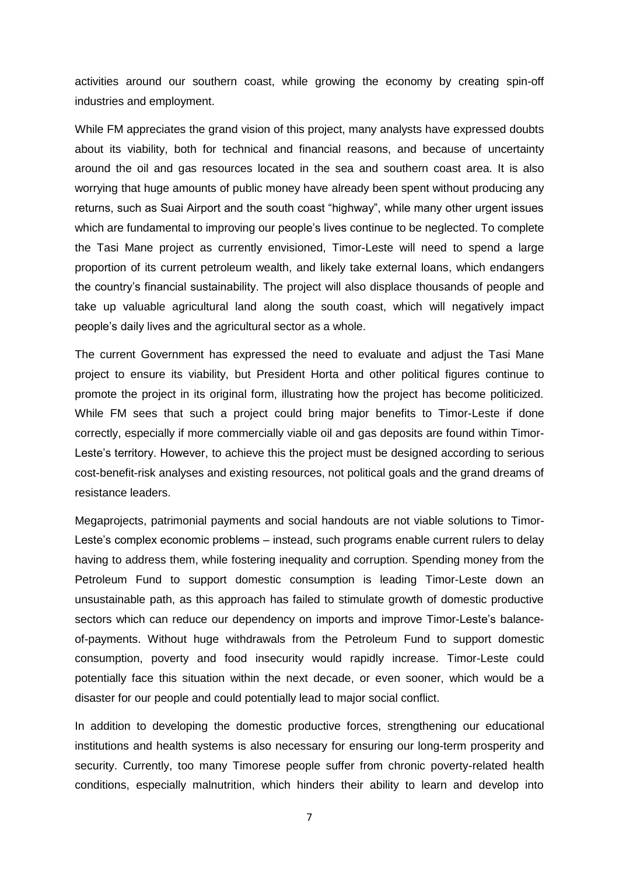activities around our southern coast, while growing the economy by creating spin-off industries and employment.

While FM appreciates the grand vision of this project, many analysts have expressed doubts about its viability, both for technical and financial reasons, and because of uncertainty around the oil and gas resources located in the sea and southern coast area. It is also worrying that huge amounts of public money have already been spent without producing any returns, such as Suai Airport and the south coast "highway", while many other urgent issues which are fundamental to improving our people"s lives continue to be neglected. To complete the Tasi Mane project as currently envisioned, Timor-Leste will need to spend a large proportion of its current petroleum wealth, and likely take external loans, which endangers the country"s financial sustainability. The project will also displace thousands of people and take up valuable agricultural land along the south coast, which will negatively impact people"s daily lives and the agricultural sector as a whole.

The current Government has expressed the need to evaluate and adjust the Tasi Mane project to ensure its viability, but President Horta and other political figures continue to promote the project in its original form, illustrating how the project has become politicized. While FM sees that such a project could bring major benefits to Timor-Leste if done correctly, especially if more commercially viable oil and gas deposits are found within Timor-Leste's territory. However, to achieve this the project must be designed according to serious cost-benefit-risk analyses and existing resources, not political goals and the grand dreams of resistance leaders.

Megaprojects, patrimonial payments and social handouts are not viable solutions to Timor-Leste's complex economic problems – instead, such programs enable current rulers to delay having to address them, while fostering inequality and corruption. Spending money from the Petroleum Fund to support domestic consumption is leading Timor-Leste down an unsustainable path, as this approach has failed to stimulate growth of domestic productive sectors which can reduce our dependency on imports and improve Timor-Leste's balanceof-payments. Without huge withdrawals from the Petroleum Fund to support domestic consumption, poverty and food insecurity would rapidly increase. Timor-Leste could potentially face this situation within the next decade, or even sooner, which would be a disaster for our people and could potentially lead to major social conflict.

In addition to developing the domestic productive forces, strengthening our educational institutions and health systems is also necessary for ensuring our long-term prosperity and security. Currently, too many Timorese people suffer from chronic poverty-related health conditions, especially malnutrition, which hinders their ability to learn and develop into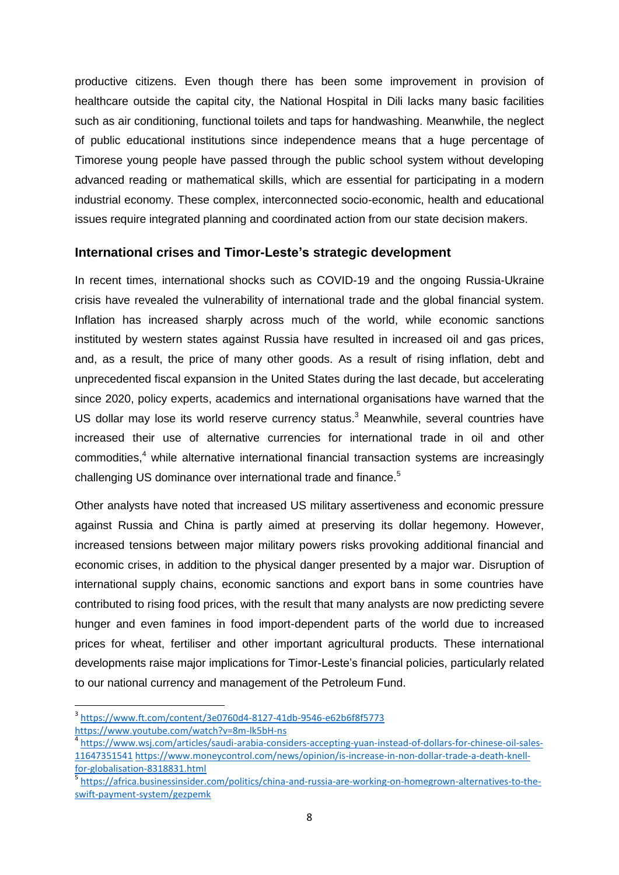productive citizens. Even though there has been some improvement in provision of healthcare outside the capital city, the National Hospital in Dili lacks many basic facilities such as air conditioning, functional toilets and taps for handwashing. Meanwhile, the neglect of public educational institutions since independence means that a huge percentage of Timorese young people have passed through the public school system without developing advanced reading or mathematical skills, which are essential for participating in a modern industrial economy. These complex, interconnected socio-economic, health and educational issues require integrated planning and coordinated action from our state decision makers.

#### <span id="page-9-0"></span>**International crises and Timor-Leste's strategic development**

In recent times, international shocks such as COVID-19 and the ongoing Russia-Ukraine crisis have revealed the vulnerability of international trade and the global financial system. Inflation has increased sharply across much of the world, while economic sanctions instituted by western states against Russia have resulted in increased oil and gas prices, and, as a result, the price of many other goods. As a result of rising inflation, debt and unprecedented fiscal expansion in the United States during the last decade, but accelerating since 2020, policy experts, academics and international organisations have warned that the US dollar may lose its world reserve currency status.<sup>3</sup> Meanwhile, several countries have increased their use of alternative currencies for international trade in oil and other commodities,<sup>4</sup> while alternative international financial transaction systems are increasingly challenging US dominance over international trade and finance.<sup>5</sup>

Other analysts have noted that increased US military assertiveness and economic pressure against Russia and China is partly aimed at preserving its dollar hegemony. However, increased tensions between major military powers risks provoking additional financial and economic crises, in addition to the physical danger presented by a major war. Disruption of international supply chains, economic sanctions and export bans in some countries have contributed to rising food prices, with the result that many analysts are now predicting severe hunger and even famines in food import-dependent parts of the world due to increased prices for wheat, fertiliser and other important agricultural products. These international developments raise major implications for Timor-Leste"s financial policies, particularly related to our national currency and management of the Petroleum Fund.

 $\overline{a}$ 

<sup>3</sup> <https://www.ft.com/content/3e0760d4-8127-41db-9546-e62b6f8f5773>

<https://www.youtube.com/watch?v=8m-lk5bH-ns>

<sup>4</sup> [https://www.wsj.com/articles/saudi-arabia-considers-accepting-yuan-instead-of-dollars-for-chinese-oil-sales-](https://www.wsj.com/articles/saudi-arabia-considers-accepting-yuan-instead-of-dollars-for-chinese-oil-sales-11647351541)[11647351541](https://www.wsj.com/articles/saudi-arabia-considers-accepting-yuan-instead-of-dollars-for-chinese-oil-sales-11647351541) [https://www.moneycontrol.com/news/opinion/is-increase-in-non-dollar-trade-a-death-knell](https://www.moneycontrol.com/news/opinion/is-increase-in-non-dollar-trade-a-death-knell-for-globalisation-8318831.html)[for-globalisation-8318831.html](https://www.moneycontrol.com/news/opinion/is-increase-in-non-dollar-trade-a-death-knell-for-globalisation-8318831.html)

<sup>5</sup> [https://africa.businessinsider.com/politics/china-and-russia-are-working-on-homegrown-alternatives-to-the](https://africa.businessinsider.com/politics/china-and-russia-are-working-on-homegrown-alternatives-to-the-swift-payment-system/gezpemk)[swift-payment-system/gezpemk](https://africa.businessinsider.com/politics/china-and-russia-are-working-on-homegrown-alternatives-to-the-swift-payment-system/gezpemk)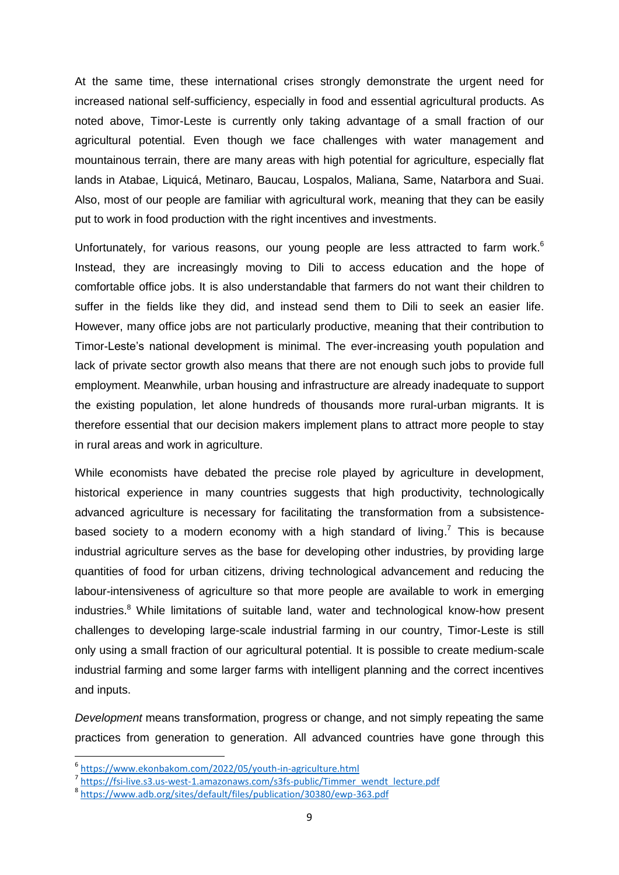At the same time, these international crises strongly demonstrate the urgent need for increased national self-sufficiency, especially in food and essential agricultural products. As noted above, Timor-Leste is currently only taking advantage of a small fraction of our agricultural potential. Even though we face challenges with water management and mountainous terrain, there are many areas with high potential for agriculture, especially flat lands in Atabae, Liquicá, Metinaro, Baucau, Lospalos, Maliana, Same, Natarbora and Suai. Also, most of our people are familiar with agricultural work, meaning that they can be easily put to work in food production with the right incentives and investments.

Unfortunately, for various reasons, our young people are less attracted to farm work.<sup>6</sup> Instead, they are increasingly moving to Dili to access education and the hope of comfortable office jobs. It is also understandable that farmers do not want their children to suffer in the fields like they did, and instead send them to Dili to seek an easier life. However, many office jobs are not particularly productive, meaning that their contribution to Timor-Leste"s national development is minimal. The ever-increasing youth population and lack of private sector growth also means that there are not enough such jobs to provide full employment. Meanwhile, urban housing and infrastructure are already inadequate to support the existing population, let alone hundreds of thousands more rural-urban migrants. It is therefore essential that our decision makers implement plans to attract more people to stay in rural areas and work in agriculture.

While economists have debated the precise role played by agriculture in development, historical experience in many countries suggests that high productivity, technologically advanced agriculture is necessary for facilitating the transformation from a subsistencebased society to a modern economy with a high standard of living.<sup>7</sup> This is because industrial agriculture serves as the base for developing other industries, by providing large quantities of food for urban citizens, driving technological advancement and reducing the labour-intensiveness of agriculture so that more people are available to work in emerging industries.<sup>8</sup> While limitations of suitable land, water and technological know-how present challenges to developing large-scale industrial farming in our country, Timor-Leste is still only using a small fraction of our agricultural potential. It is possible to create medium-scale industrial farming and some larger farms with intelligent planning and the correct incentives and inputs.

*Development* means transformation, progress or change, and not simply repeating the same practices from generation to generation. All advanced countries have gone through this

**.** 

<sup>6</sup> <https://www.ekonbakom.com/2022/05/youth-in-agriculture.html>

<sup>&</sup>lt;sup>7</sup> [https://fsi-live.s3.us-west-1.amazonaws.com/s3fs-public/Timmer\\_wendt\\_lecture.pdf](https://fsi-live.s3.us-west-1.amazonaws.com/s3fs-public/Timmer_wendt_lecture.pdf)

<sup>8</sup> <https://www.adb.org/sites/default/files/publication/30380/ewp-363.pdf>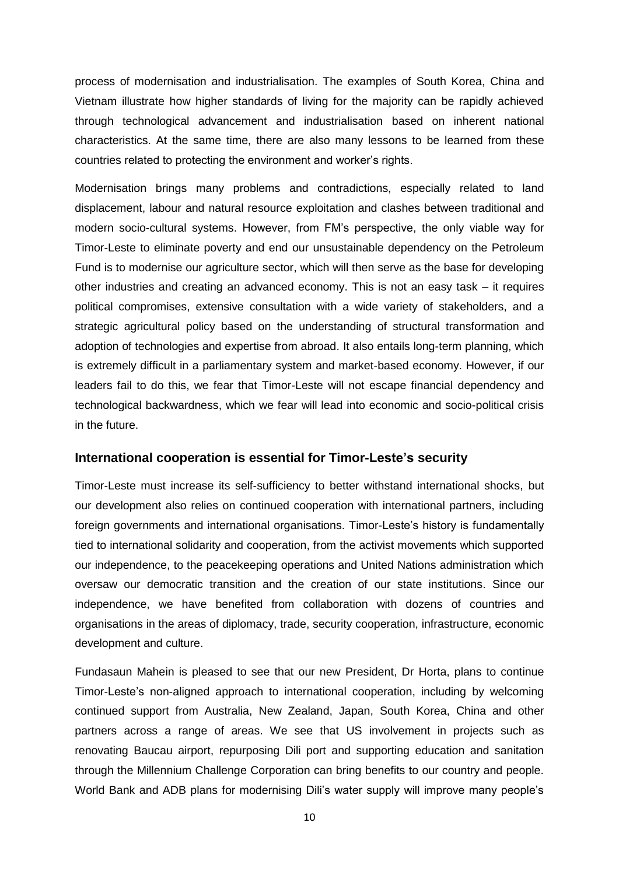process of modernisation and industrialisation. The examples of South Korea, China and Vietnam illustrate how higher standards of living for the majority can be rapidly achieved through technological advancement and industrialisation based on inherent national characteristics. At the same time, there are also many lessons to be learned from these countries related to protecting the environment and worker"s rights.

Modernisation brings many problems and contradictions, especially related to land displacement, labour and natural resource exploitation and clashes between traditional and modern socio-cultural systems. However, from FM"s perspective, the only viable way for Timor-Leste to eliminate poverty and end our unsustainable dependency on the Petroleum Fund is to modernise our agriculture sector, which will then serve as the base for developing other industries and creating an advanced economy. This is not an easy task – it requires political compromises, extensive consultation with a wide variety of stakeholders, and a strategic agricultural policy based on the understanding of structural transformation and adoption of technologies and expertise from abroad. It also entails long-term planning, which is extremely difficult in a parliamentary system and market-based economy. However, if our leaders fail to do this, we fear that Timor-Leste will not escape financial dependency and technological backwardness, which we fear will lead into economic and socio-political crisis in the future.

#### <span id="page-11-0"></span>**International cooperation is essential for Timor-Leste's security**

Timor-Leste must increase its self-sufficiency to better withstand international shocks, but our development also relies on continued cooperation with international partners, including foreign governments and international organisations. Timor-Leste's history is fundamentally tied to international solidarity and cooperation, from the activist movements which supported our independence, to the peacekeeping operations and United Nations administration which oversaw our democratic transition and the creation of our state institutions. Since our independence, we have benefited from collaboration with dozens of countries and organisations in the areas of diplomacy, trade, security cooperation, infrastructure, economic development and culture.

Fundasaun Mahein is pleased to see that our new President, Dr Horta, plans to continue Timor-Leste"s non-aligned approach to international cooperation, including by welcoming continued support from Australia, New Zealand, Japan, South Korea, China and other partners across a range of areas. We see that US involvement in projects such as renovating Baucau airport, repurposing Dili port and supporting education and sanitation through the Millennium Challenge Corporation can bring benefits to our country and people. World Bank and ADB plans for modernising Dili's water supply will improve many people's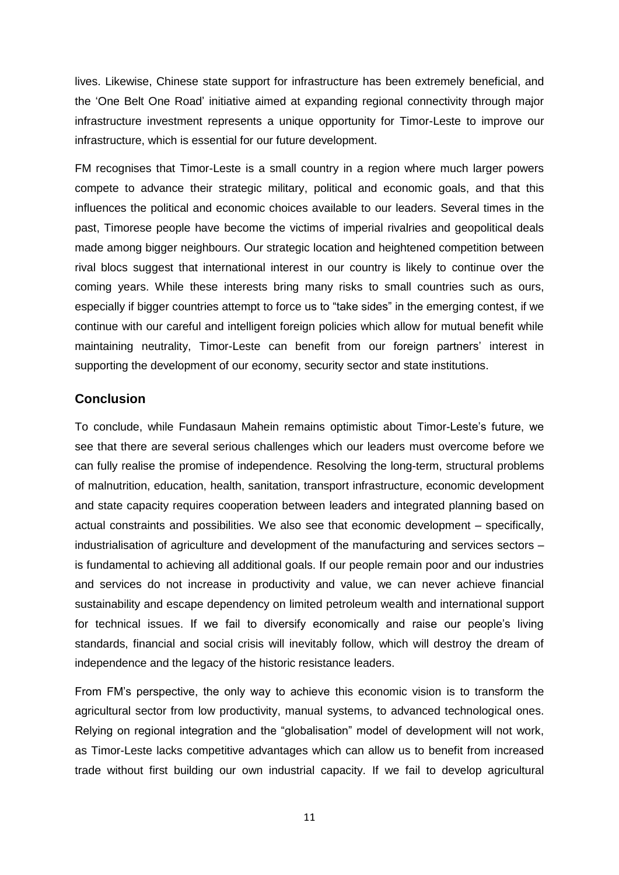lives. Likewise, Chinese state support for infrastructure has been extremely beneficial, and the "One Belt One Road" initiative aimed at expanding regional connectivity through major infrastructure investment represents a unique opportunity for Timor-Leste to improve our infrastructure, which is essential for our future development.

FM recognises that Timor-Leste is a small country in a region where much larger powers compete to advance their strategic military, political and economic goals, and that this influences the political and economic choices available to our leaders. Several times in the past, Timorese people have become the victims of imperial rivalries and geopolitical deals made among bigger neighbours. Our strategic location and heightened competition between rival blocs suggest that international interest in our country is likely to continue over the coming years. While these interests bring many risks to small countries such as ours, especially if bigger countries attempt to force us to "take sides" in the emerging contest, if we continue with our careful and intelligent foreign policies which allow for mutual benefit while maintaining neutrality, Timor-Leste can benefit from our foreign partners' interest in supporting the development of our economy, security sector and state institutions.

#### <span id="page-12-0"></span>**Conclusion**

To conclude, while Fundasaun Mahein remains optimistic about Timor-Leste"s future, we see that there are several serious challenges which our leaders must overcome before we can fully realise the promise of independence. Resolving the long-term, structural problems of malnutrition, education, health, sanitation, transport infrastructure, economic development and state capacity requires cooperation between leaders and integrated planning based on actual constraints and possibilities. We also see that economic development – specifically, industrialisation of agriculture and development of the manufacturing and services sectors – is fundamental to achieving all additional goals. If our people remain poor and our industries and services do not increase in productivity and value, we can never achieve financial sustainability and escape dependency on limited petroleum wealth and international support for technical issues. If we fail to diversify economically and raise our people's living standards, financial and social crisis will inevitably follow, which will destroy the dream of independence and the legacy of the historic resistance leaders.

From FM"s perspective, the only way to achieve this economic vision is to transform the agricultural sector from low productivity, manual systems, to advanced technological ones. Relying on regional integration and the "globalisation" model of development will not work, as Timor-Leste lacks competitive advantages which can allow us to benefit from increased trade without first building our own industrial capacity. If we fail to develop agricultural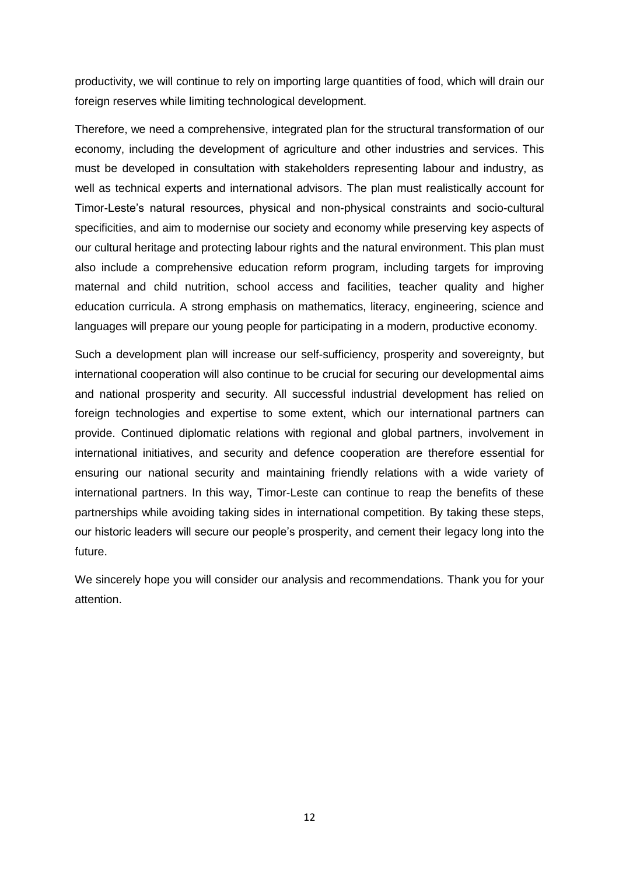productivity, we will continue to rely on importing large quantities of food, which will drain our foreign reserves while limiting technological development.

Therefore, we need a comprehensive, integrated plan for the structural transformation of our economy, including the development of agriculture and other industries and services. This must be developed in consultation with stakeholders representing labour and industry, as well as technical experts and international advisors. The plan must realistically account for Timor-Leste"s natural resources, physical and non-physical constraints and socio-cultural specificities, and aim to modernise our society and economy while preserving key aspects of our cultural heritage and protecting labour rights and the natural environment. This plan must also include a comprehensive education reform program, including targets for improving maternal and child nutrition, school access and facilities, teacher quality and higher education curricula. A strong emphasis on mathematics, literacy, engineering, science and languages will prepare our young people for participating in a modern, productive economy.

Such a development plan will increase our self-sufficiency, prosperity and sovereignty, but international cooperation will also continue to be crucial for securing our developmental aims and national prosperity and security. All successful industrial development has relied on foreign technologies and expertise to some extent, which our international partners can provide. Continued diplomatic relations with regional and global partners, involvement in international initiatives, and security and defence cooperation are therefore essential for ensuring our national security and maintaining friendly relations with a wide variety of international partners. In this way, Timor-Leste can continue to reap the benefits of these partnerships while avoiding taking sides in international competition. By taking these steps, our historic leaders will secure our people"s prosperity, and cement their legacy long into the future.

We sincerely hope you will consider our analysis and recommendations. Thank you for your attention.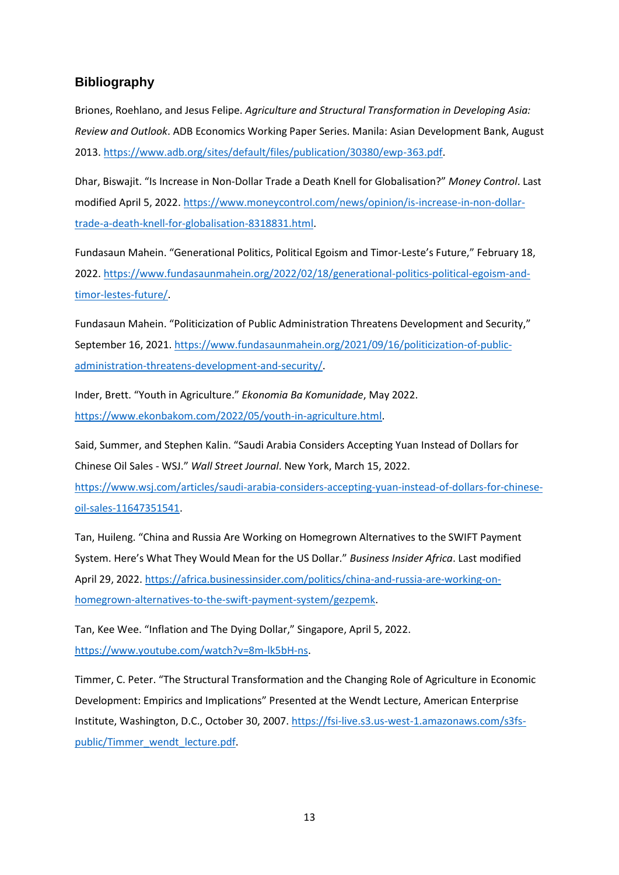#### <span id="page-14-0"></span>**Bibliography**

Briones, Roehlano, and Jesus Felipe. *Agriculture and Structural Transformation in Developing Asia: Review and Outlook*. ADB Economics Working Paper Series. Manila: Asian Development Bank, August 2013[. https://www.adb.org/sites/default/files/publication/30380/ewp-363.pdf.](https://www.adb.org/sites/default/files/publication/30380/ewp-363.pdf)

Dhar, Biswajit. "Is Increase in Non-Dollar Trade a Death Knell for Globalisation?" *Money Control*. Last modified April 5, 2022. [https://www.moneycontrol.com/news/opinion/is-increase-in-non-dollar](https://www.moneycontrol.com/news/opinion/is-increase-in-non-dollar-trade-a-death-knell-for-globalisation-8318831.html)[trade-a-death-knell-for-globalisation-8318831.html.](https://www.moneycontrol.com/news/opinion/is-increase-in-non-dollar-trade-a-death-knell-for-globalisation-8318831.html)

Fundasaun Mahein. "Generational Politics, Political Egoism and Timor-Leste's Future," February 18, 2022[. https://www.fundasaunmahein.org/2022/02/18/generational-politics-political-egoism-and](https://www.fundasaunmahein.org/2022/02/18/generational-politics-political-egoism-and-timor-lestes-future/)[timor-lestes-future/.](https://www.fundasaunmahein.org/2022/02/18/generational-politics-political-egoism-and-timor-lestes-future/)

Fundasaun Mahein. "Politicization of Public Administration Threatens Development and Security," September 16, 2021. [https://www.fundasaunmahein.org/2021/09/16/politicization-of-public](https://www.fundasaunmahein.org/2021/09/16/politicization-of-public-administration-threatens-development-and-security/)[administration-threatens-development-and-security/.](https://www.fundasaunmahein.org/2021/09/16/politicization-of-public-administration-threatens-development-and-security/)

Inder, Brett. "Youth in Agriculture." *Ekonomia Ba Komunidade*, May 2022. [https://www.ekonbakom.com/2022/05/youth-in-agriculture.html.](https://www.ekonbakom.com/2022/05/youth-in-agriculture.html)

Said, Summer, and Stephen Kalin. "Saudi Arabia Considers Accepting Yuan Instead of Dollars for Chinese Oil Sales - WSJ." *Wall Street Journal*. New York, March 15, 2022.

[https://www.wsj.com/articles/saudi-arabia-considers-accepting-yuan-instead-of-dollars-for-chinese](https://www.wsj.com/articles/saudi-arabia-considers-accepting-yuan-instead-of-dollars-for-chinese-oil-sales-11647351541)[oil-sales-11647351541.](https://www.wsj.com/articles/saudi-arabia-considers-accepting-yuan-instead-of-dollars-for-chinese-oil-sales-11647351541)

Tan, Huileng. "China and Russia Are Working on Homegrown Alternatives to the SWIFT Payment System. Here's What They Would Mean for the US Dollar." *Business Insider Africa*. Last modified April 29, 2022[. https://africa.businessinsider.com/politics/china-and-russia-are-working-on](https://africa.businessinsider.com/politics/china-and-russia-are-working-on-homegrown-alternatives-to-the-swift-payment-system/gezpemk)[homegrown-alternatives-to-the-swift-payment-system/gezpemk.](https://africa.businessinsider.com/politics/china-and-russia-are-working-on-homegrown-alternatives-to-the-swift-payment-system/gezpemk)

Tan, Kee Wee. "Inflation and The Dying Dollar," Singapore, April 5, 2022. [https://www.youtube.com/watch?v=8m-lk5bH-ns.](https://www.youtube.com/watch?v=8m-lk5bH-ns)

Timmer, C. Peter. "The Structural Transformation and the Changing Role of Agriculture in Economic Development: Empirics and Implications" Presented at the Wendt Lecture, American Enterprise Institute, Washington, D.C., October 30, 2007[. https://fsi-live.s3.us-west-1.amazonaws.com/s3fs](https://fsi-live.s3.us-west-1.amazonaws.com/s3fs-public/Timmer_wendt_lecture.pdf)[public/Timmer\\_wendt\\_lecture.pdf.](https://fsi-live.s3.us-west-1.amazonaws.com/s3fs-public/Timmer_wendt_lecture.pdf)